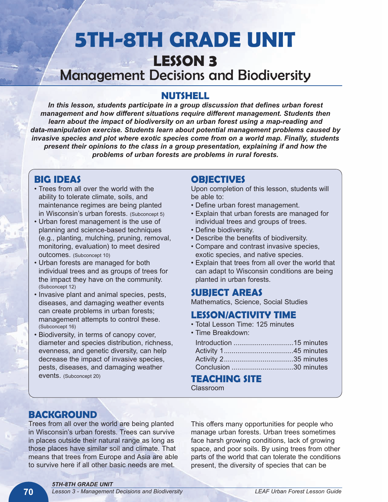# **5TH-8TH GRADE UNIT LESSON 3** Management Decisions and Biodiversity

### **NUTSHELL**

*In this lesson, students participate in a group discussion that defines urban forest management and how different situations require different management. Students then learn about the impact of biodiversity on an urban forest using a map-reading and data-manipulation exercise. Students learn about potential management problems caused by invasive species and plot where exotic species come from on a world map. Finally, students present their opinions to the class in a group presentation, explaining if and how the problems of urban forests are problems in rural forests.*

# **BIG IDEAS**

- Trees from all over the world with the ability to tolerate climate, soils, and maintenance regimes are being planted in Wisconsin's urban forests. (Subconcept 5)
- Urban forest management is the use of planning and science-based techniques (e.g., planting, mulching, pruning, removal, monitoring, evaluation) to meet desired outcomes. (Subconcept 10)
- Urban forests are managed for both individual trees and as groups of trees for the impact they have on the community. (Subconcept 12)
- Invasive plant and animal species, pests, diseases, and damaging weather events can create problems in urban forests; management attempts to control these. (Subconcept 16)
- Biodiversity, in terms of canopy cover, diameter and species distribution, richness, evenness, and genetic diversity, can help decrease the impact of invasive species, pests, diseases, and damaging weather events. (Subconcept 20)

### **OBJECTIVES**

Upon completion of this lesson, students will be able to:

- Define urban forest management.
- Explain that urban forests are managed for individual trees and groups of trees.
- Define biodiversity.
- Describe the benefits of biodiversity.
- Compare and contrast invasive species, exotic species, and native species.
- Explain that trees from all over the world that can adapt to Wisconsin conditions are being planted in urban forests.

### **SUBJECT AREAS**

Mathematics, Science, Social Studies

## **LESSON/ACTIVITY TIME**

- Total Lesson Time: 125 minutes
- Time Breakdown:

### **TEACHING SITE**

Classroom

# **BACKGROUND**

Trees from all over the world are being planted in Wisconsin's urban forests. Trees can survive in places outside their natural range as long as those places have similar soil and climate. That means that trees from Europe and Asia are able to survive here if all other basic needs are met.

This offers many opportunities for people who manage urban forests. Urban trees sometimes face harsh growing conditions, lack of growing space, and poor soils. By using trees from other parts of the world that can tolerate the conditions present, the diversity of species that can be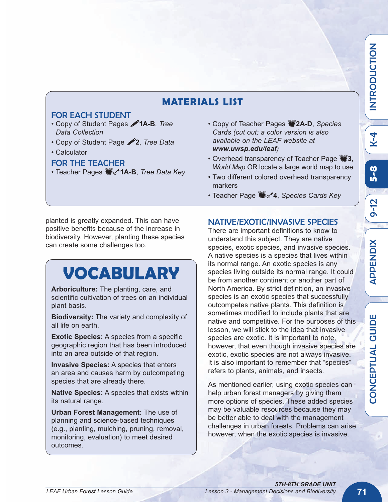# **MATERIALS LIST**

#### FOR EACH STUDENT

- Copy of Student Pages !**1A-B**, *Tree Data Collection*
- Copy of Student Page !**2**, *Tree Data*
- Calculator

#### FOR THE TEACHER

- Teacher Pages  $\bullet$  **1A-B**, *Tree Data Key*
- Copy of Teacher Pages **2A-D**, *Species Cards (cut out; a color version is also available on the LEAF website at www.uwsp.edu/leaf)*
- Overhead transparency of Teacher Page **3**, *World Map* OR locate a large world map to use
- Two different colored overhead transparency markers
- Teacher Page **M**<sub>s</sub><sup>4</sup>, *Species Cards Key*

planted is greatly expanded. This can have positive benefits because of the increase in biodiversity. However, planting these species can create some challenges too.

# **VOCABULARY**

**Arboriculture:** The planting, care, and scientific cultivation of trees on an individual plant basis.

**Biodiversity:** The variety and complexity of all life on earth.

**Exotic Species:** A species from a specific geographic region that has been introduced into an area outside of that region.

**Invasive Species:** A species that enters an area and causes harm by outcompeting species that are already there.

**Native Species:** A species that exists within its natural range.

**Urban Forest Management:** The use of planning and science-based techniques (e.g., planting, mulching, pruning, removal, monitoring, evaluation) to meet desired outcomes.

### NATIVE/EXOTIC/INVASIVE SPECIES

There are important definitions to know to understand this subject. They are native species, exotic species, and invasive species. A native species is a species that lives within its normal range. An exotic species is any species living outside its normal range. It could be from another continent or another part of North America. By strict definition, an invasive species is an exotic species that successfully outcompetes native plants. This definition is sometimes modified to include plants that are native and competitive. For the purposes of this lesson, we will stick to the idea that invasive species are exotic. It is important to note, however, that even though invasive species are exotic, exotic species are not always invasive. It is also important to remember that "species" refers to plants, animals, and insects.

As mentioned earlier, using exotic species can help urban forest managers by giving them more options of species. These added species may be valuable resources because they may be better able to deal with the management challenges in urban forests. Problems can arise, however, when the exotic species is invasive.

 $\mathbf\omega$ 

 $\blacktriangleleft$ Q. Q.  $\mathbf \mu$ Z ี<br>อิ

 $\mathsf{\Xi}$  $\blacksquare$  $\boldsymbol{\alpha}$ O  $\boldsymbol{\mathsf{\Omega}}$  $\supset$  $\mathbf{\mathsf{C}}$ O<br>F Z

K- 4

**5- 8**

თ <u>ר</u><br>ב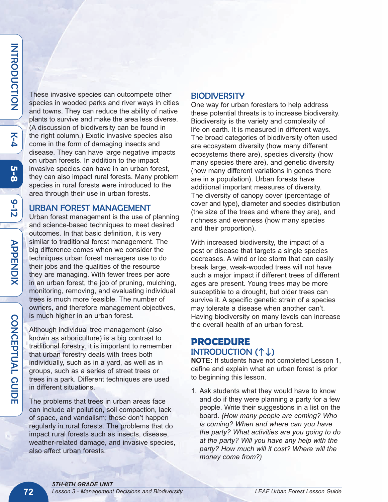**5 - 8**

७  $\frac{1}{\mathsf{D}}$ 

These invasive species can outcompete other species in wooded parks and river ways in cities and towns. They can reduce the ability of native plants to survive and make the area less diverse. (A discussion of biodiversity can be found in the right column.) Exotic invasive species also come in the form of damaging insects and disease. They can have large negative impacts on urban forests. In addition to the impact invasive species can have in an urban forest, they can also impact rural forests. Many problem species in rural forests were introduced to the area through their use in urban forests.

#### URBAN FOREST MANAGEMENT

Urban forest management is the use of planning and science-based techniques to meet desired outcomes. In that basic definition, it is very similar to traditional forest management. The big difference comes when we consider the techniques urban forest managers use to do their jobs and the qualities of the resource they are managing. With fewer trees per acre in an urban forest, the job of pruning, mulching, monitoring, removing, and evaluating individual trees is much more feasible. The number of owners, and therefore management objectives, is much higher in an urban forest.

Although individual tree management (also known as arboriculture) is a big contrast to traditional forestry, it is important to remember that urban forestry deals with trees both individually, such as in a yard, as well as in groups, such as a series of street trees or trees in a park. Different techniques are used in different situations.

The problems that trees in urban areas face can include air pollution, soil compaction, lack of space, and vandalism; these don't happen regularly in rural forests. The problems that do impact rural forests such as insects, disease, weather-related damage, and invasive species, also affect urban forests.

#### **BIODIVERSITY**

One way for urban foresters to help address these potential threats is to increase biodiversity. Biodiversity is the variety and complexity of life on earth. It is measured in different ways. The broad categories of biodiversity often used are ecosystem diversity (how many different ecosystems there are), species diversity (how many species there are), and genetic diversity (how many different variations in genes there are in a population). Urban forests have additional important measures of diversity. The diversity of canopy cover (percentage of cover and type), diameter and species distribution (the size of the trees and where they are), and richness and evenness (how many species and their proportion).

With increased biodiversity, the impact of a pest or disease that targets a single species decreases. A wind or ice storm that can easily break large, weak-wooded trees will not have such a major impact if different trees of different ages are present. Young trees may be more susceptible to a drought, but older trees can survive it. A specific genetic strain of a species may tolerate a disease when another can't. Having biodiversity on many levels can increase the overall health of an urban forest.

### **PROCEDURE** INTRODUCTION  $($ <sup> $\uparrow$ </sup> $\downarrow$  $)$

**NOTE:** If students have not completed Lesson 1, define and explain what an urban forest is prior to beginning this lesson.

1. Ask students what they would have to know and do if they were planning a party for a few people. Write their suggestions in a list on the board. *(How many people are coming? Who is coming? When and where can you have the party? What activities are you going to do at the party? Will you have any help with the party? How much will it cost? Where will the money come from?)*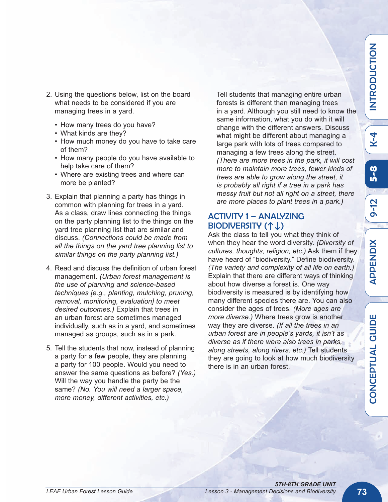თ <u>ר</u>

- 2. Using the questions below, list on the board what needs to be considered if you are managing trees in a yard.
	- How many trees do you have?
	- What kinds are they?
	- How much money do you have to take care of them?
	- How many people do you have available to help take care of them?
	- Where are existing trees and where can more be planted?
- 3. Explain that planning a party has things in common with planning for trees in a yard. As a class, draw lines connecting the things on the party planning list to the things on the yard tree planning list that are similar and discuss. *(Connections could be made from all the things on the yard tree planning list to similar things on the party planning list.)*
- 4. Read and discuss the definition of urban forest management. *(Urban forest management is the use of planning and science-based techniques [e.g., planting, mulching, pruning, removal, monitoring, evaluation] to meet desired outcomes.)* Explain that trees in an urban forest are sometimes managed individually, such as in a yard, and sometimes managed as groups, such as in a park.
- 5. Tell the students that now, instead of planning a party for a few people, they are planning a party for 100 people. Would you need to answer the same questions as before? *(Yes.)* Will the way you handle the party be the same? *(No. You will need a larger space, more money, different activities, etc.)*

Tell students that managing entire urban forests is different than managing trees in a yard. Although you still need to know the same information, what you do with it will change with the different answers. Discuss what might be different about managing a large park with lots of trees compared to managing a few trees along the street. *(There are more trees in the park, it will cost more to maintain more trees, fewer kinds of trees are able to grow along the street, it is probably all right if a tree in a park has messy fruit but not all right on a street, there are more places to plant trees in a park.)*

### ACTIVITY 1 – ANALYZING BIODIVERSITY  $($ <sup>1</sup> $\downarrow$ )

Ask the class to tell you what they think of when they hear the word diversity. *(Diversity of cultures, thoughts, religion, etc.)* Ask them if they have heard of "biodiversity." Define biodiversity. *(The variety and complexity of all life on earth.)* Explain that there are different ways of thinking about how diverse a forest is. One way biodiversity is measured is by identifying how many different species there are. You can also consider the ages of trees. *(More ages are more diverse.)* Where trees grow is another way they are diverse. *(If all the trees in an urban forest are in people's yards, it isn't as diverse as if there were also trees in parks, along streets, along rivers, etc.)* Tell students they are going to look at how much biodiversity there is in an urban forest.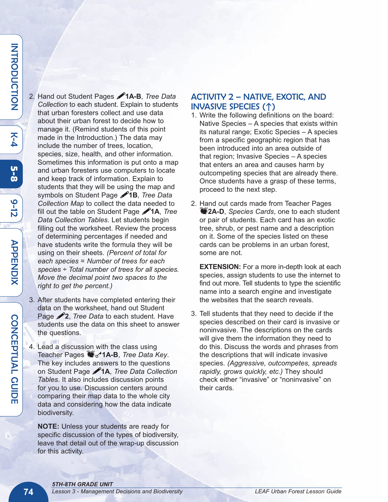K<br>4

**5 - 8**

७  $\frac{1}{\mathsf{D}}$  2. Hand out Student Pages !**1A-B**, *Tree Data Collection* to each student. Explain to students that urban foresters collect and use data about their urban forest to decide how to manage it. (Remind students of this point made in the Introduction.) The data may include the number of trees, location, species, size, health, and other information. Sometimes this information is put onto a map and urban foresters use computers to locate and keep track of information. Explain to students that they will be using the map and symbols on Student Page !**1B**, *Tree Data Collection Map* to collect the data needed to fill out the table on Student Page !**1A**, *Tree Data Collection Tables*. Let students begin filling out the worksheet. Review the process of determining percentages if needed and have students write the formula they will be using on their sheets. *(Percent of total for each species = Number of trees for each species ÷ Total number of trees for all species. Move the decimal point two spaces to the right to get the percent.)*

- 3. After students have completed entering their data on the worksheet, hand out Student Page **2**, *Tree Data* to each student. Have students use the data on this sheet to answer the questions.
- 4. Lead a discussion with the class using Teacher Pages  $\bullet$ <sub>s</sub><sup>1</sup>1A-B, *Tree Data Key.* The key includes answers to the questions on Student Page !**1A**, *Tree Data Collection Tables*. It also includes discussion points for you to use. Discussion centers around comparing their map data to the whole city data and considering how the data indicate biodiversity.

**NOTE:** Unless your students are ready for specific discussion of the types of biodiversity, leave that detail out of the wrap-up discussion for this activity.

#### ACTIVITY 2 – NATIVE, EXOTIC, AND INVASIVE SPECIES (h)

- 1. Write the following definitions on the board: Native Species – A species that exists within its natural range; Exotic Species – A species from a specific geographic region that has been introduced into an area outside of that region; Invasive Species – A species that enters an area and causes harm by outcompeting species that are already there. Once students have a grasp of these terms, proceed to the next step.
- 2. Hand out cards made from Teacher Pages A**2A-D**, *Species Cards*, one to each student or pair of students. Each card has an exotic tree, shrub, or pest name and a description on it. Some of the species listed on these cards can be problems in an urban forest, some are not.

**EXTENSION:** For a more in-depth look at each species, assign students to use the internet to find out more. Tell students to type the scientific name into a search engine and investigate the websites that the search reveals.

3. Tell students that they need to decide if the species described on their card is invasive or noninvasive. The descriptions on the cards will give them the information they need to do this. Discuss the words and phrases from the descriptions that will indicate invasive species. *(Aggressive, outcompetes, spreads rapidly, grows quickly, etc.)* They should check either "invasive" or "noninvasive" on their cards.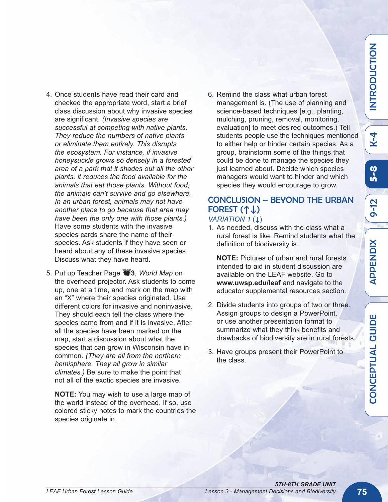K4

 $\mathbf\omega$ O Z  $\mathbf C$ щ <u>Δ</u> T  $\Box$  $\blacktriangleleft$  $\overline{\phantom{0}}$ G <u>በ</u><br>J  $\mathbf \mu$ 

- 4. Once students have read their card and checked the appropriate word, start a brief class discussion about why invasive species are significant. *(Invasive species are successful at competing with native plants. They reduce the numbers of native plants or eliminate them entirely. This disrupts the ecosystem. For instance, if invasive honeysuckle grows so densely in a forested area of a park that it shades out all the other plants, it reduces the food available for the animals that eat those plants. Without food, the animals can't survive and go elsewhere. In an urban forest, animals may not have another place to go because that area may have been the only one with those plants.)* Have some students with the invasive species cards share the name of their species. Ask students if they have seen or heard about any of these invasive species. Discuss what they have heard.
- 5. Put up Teacher Page A**3**, *World Map* on the overhead projector. Ask students to come up, one at a time, and mark on the map with an "X" where their species originated. Use different colors for invasive and noninvasive. They should each tell the class where the species came from and if it is invasive. After all the species have been marked on the map, start a discussion about what the species that can grow in Wisconsin have in common. *(They are all from the northern hemisphere. They all grow in similar climates.)* Be sure to make the point that not all of the exotic species are invasive.

**NOTE:** You may wish to use a large map of the world instead of the overhead. If so, use colored sticky notes to mark the countries the species originate in.

6. Remind the class what urban forest management is. (The use of planning and science-based techniques [e.g., planting, mulching, pruning, removal, monitoring, evaluation] to meet desired outcomes.) Tell students people use the techniques mentioned to either help or hinder certain species. As a group, brainstorm some of the things that could be done to manage the species they just learned about. Decide which species managers would want to hinder and which species they would encourage to grow.

#### CONCLUSION – BEYOND THE URBAN FOREST  $($ <sup>1</sup> $\downarrow$  $)$ *VARIATION 1* (↓)

1. As needed, discuss with the class what a rural forest is like. Remind students what the definition of biodiversity is.

**NOTE:** Pictures of urban and rural forests intended to aid in student discussion are available on the LEAF website. Go to **www.uwsp.edu/leaf** and navigate to the educator supplemental resources section.

- 2. Divide students into groups of two or three. Assign groups to design a PowerPoint, or use another presentation format to summarize what they think benefits and drawbacks of biodiversity are in rural forests.
- 3. Have groups present their PowerPoint to the class.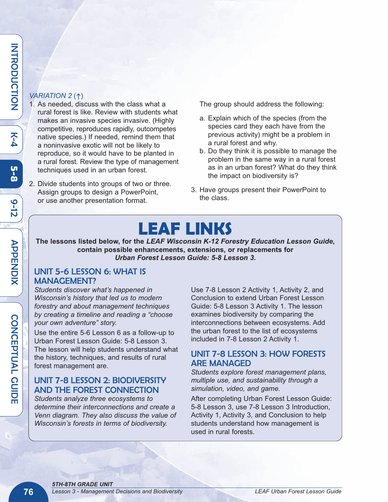#### Z  $\overline{\texttt{z}}$ O  $\overline{\mathbf{C}}$  $\subset$  $\mathsf{\Omega}$ TIO Z

K<br>4

**5 - 8**

७  $\frac{1}{\mathsf{D}}$ 

#### *VARIATION 2* (h)

- 1. As needed, discuss with the class what a rural forest is like. Review with students what makes an invasive species invasive. (Highly competitive, reproduces rapidly, outcompetes native species.) If needed, remind them that a noninvasive exotic will not be likely to reproduce, so it would have to be planted in a rural forest. Review the type of management techniques used in an urban forest.
- 2. Divide students into groups of two or three. Assign groups to design a PowerPoint, or use another presentation format.

The group should address the following:

- a. Explain which of the species (from the species card they each have from the previous activity) might be a problem in a rural forest and why.
- b. Do they think it is possible to manage the problem in the same way in a rural forest as in an urban forest? What do they think the impact on biodiversity is?
- 3. Have groups present their PowerPoint to the class.

# **LEAF LINKS**

**The lessons listed below, for the** *LEAF Wisconsin K-12 Forestry Education Lesson Guide***, contain possible enhancements, extensions, or replacements for** *Urban Forest Lesson Guide: 5-8 Lesson 3***.**

#### UNIT 5-6 LESSON 6: WHAT IS MANAGEMENT?

*Students discover what's happened in Wisconsin's history that led us to modern forestry and about management techniques by creating a timeline and reading a "choose your own adventure" story.* 

Use the entire 5-6 Lesson 6 as a follow-up to Urban Forest Lesson Guide: 5-8 Lesson 3. The lesson will help students understand what the history, techniques, and results of rural forest management are.

## UNIT 7-8 LESSON 2: BIODIVERSITY AND THE FOREST CONNECTION

*Students analyze three ecosystems to determine their interconnections and create a Venn diagram. They also discuss the value of Wisconsin's forests in terms of biodiversity.* 

Use 7-8 Lesson 2 Activity 1, Activity 2, and Conclusion to extend Urban Forest Lesson Guide: 5-8 Lesson 3 Activity 1. The lesson examines biodiversity by comparing the interconnections between ecosystems. Add the urban forest to the list of ecosystems included in 7-8 Lesson 2 Activity 1.

### UNIT 7-8 LESSON 3: HOW FORESTS ARE MANAGED

*Students explore forest management plans, multiple use, and sustainability through a simulation, video, and game.*

After completing Urban Forest Lesson Guide: 5-8 Lesson 3, use 7-8 Lesson 3 Introduction, Activity 1, Activity 3, and Conclusion to help students understand how management is used in rural forests.

D<br>L<br>C

A L  $\boldsymbol{\mathsf{\Omega}}$ UID E

 $\blacktriangleright$  $\bf \overline{U}$  $\bf \sigma$  $\overline{\mathbf{H}}$ Z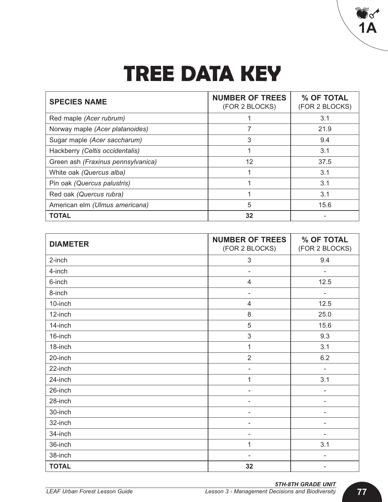# **TREE DATA KEY**

| <b>SPECIES NAME</b>                | <b>NUMBER OF TREES</b><br>(FOR 2 BLOCKS) | % OF TOTAL<br>(FOR 2 BLOCKS) |
|------------------------------------|------------------------------------------|------------------------------|
| Red maple (Acer rubrum)            |                                          | 3.1                          |
| Norway maple (Acer platanoides)    | 7                                        | 21.9                         |
| Sugar maple (Acer saccharum)       | 3                                        | 9.4                          |
| Hackberry (Celtis occidentalis)    | 1                                        | 3.1                          |
| Green ash (Fraxinus pennsylvanica) | 12                                       | 37.5                         |
| White oak (Quercus alba)           |                                          | 3.1                          |
| Pin oak (Quercus palustris)        |                                          | 3.1                          |
| Red oak (Quercus rubra)            |                                          | 3.1                          |
| American elm (Ulmus americana)     | 5                                        | 15.6                         |
| <b>TOTAL</b>                       | 32                                       |                              |

| <b>DIAMETER</b> | <b>NUMBER OF TREES</b><br>(FOR 2 BLOCKS) | % OF TOTAL<br>(FOR 2 BLOCKS) |
|-----------------|------------------------------------------|------------------------------|
| 2-inch          | $\sqrt{3}$                               | 9.4                          |
| 4-inch          | $\overline{\phantom{a}}$                 | $\overline{\phantom{a}}$     |
| 6-inch          | $\overline{4}$                           | 12.5                         |
| 8-inch          | $\overline{\phantom{0}}$                 | $\overline{a}$               |
| 10-inch         | $\overline{4}$                           | 12.5                         |
| 12-inch         | 8                                        | 25.0                         |
| 14-inch         | 5                                        | 15.6                         |
| 16-inch         | $\mathfrak{S}$                           | 9.3                          |
| 18-inch         | $\mathbf{1}$                             | 3.1                          |
| 20-inch         | $\overline{2}$                           | 6.2                          |
| 22-inch         | ۰                                        | $\overline{a}$               |
| 24-inch         | 1                                        | 3.1                          |
| 26-inch         | $\blacksquare$                           | $\overline{a}$               |
| 28-inch         |                                          | ۰                            |
| 30-inch         | $\overline{a}$                           | $\overline{a}$               |
| 32-inch         | $\overline{\phantom{m}}$                 | $\overline{a}$               |
| 34-inch         | ۰                                        | ۰                            |
| 36-inch         | 1                                        | 3.1                          |
| 38-inch         | $\overline{\phantom{a}}$                 | $\overline{\phantom{0}}$     |
| <b>TOTAL</b>    | 32                                       | $\overline{\phantom{a}}$     |

V S **1A**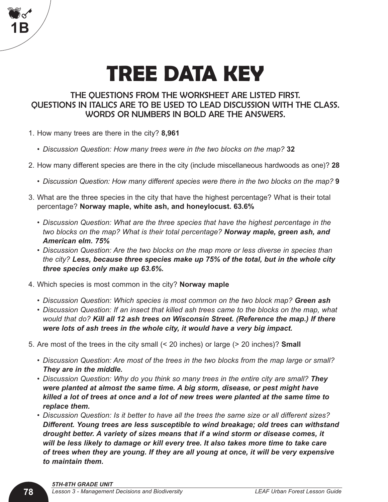# **TREE DATA KEY**

### THE QUESTIONS FROM THE WORKSHEET ARE LISTED FIRST. QUESTIONS IN ITALICS ARE TO BE USED TO LEAD DISCUSSION WITH THE CLASS. WORDS OR NUMBERS IN BOLD ARE THE ANSWERS.

- 1. How many trees are there in the city? **8,961**
	- *Discussion Question: How many trees were in the two blocks on the map?* **32**
- 2. How many different species are there in the city (include miscellaneous hardwoods as one)? **28**
	- *Discussion Question: How many different species were there in the two blocks on the map?* **9**
- 3. What are the three species in the city that have the highest percentage? What is their total percentage? **Norway maple, white ash, and honeylocust. 63.6%**
	- *• Discussion Question: What are the three species that have the highest percentage in the two blocks on the map? What is their total percentage? Norway maple, green ash, and American elm. 75%*
	- *Discussion Question: Are the two blocks on the map more or less diverse in species than the city? Less, because three species make up 75% of the total, but in the whole city three species only make up 63.6%.*
- 4. Which species is most common in the city? **Norway maple**
	- *Discussion Question: Which species is most common on the two block map? Green ash*
	- *• Discussion Question: If an insect that killed ash trees came to the blocks on the map, what would that do? Kill all 12 ash trees on Wisconsin Street. (Reference the map.) If there were lots of ash trees in the whole city, it would have a very big impact.*
- 5. Are most of the trees in the city small (< 20 inches) or large (> 20 inches)? **Small**
	- *Discussion Question: Are most of the trees in the two blocks from the map large or small? They are in the middle.*
	- *Discussion Question: Why do you think so many trees in the entire city are small? They were planted at almost the same time. A big storm, disease, or pest might have killed a lot of trees at once and a lot of new trees were planted at the same time to replace them.*
	- *• Discussion Question: Is it better to have all the trees the same size or all different sizes? Different. Young trees are less susceptible to wind breakage; old trees can withstand drought better. A variety of sizes means that if a wind storm or disease comes, it will be less likely to damage or kill every tree. It also takes more time to take care of trees when they are young. If they are all young at once, it will be very expensive to maintain them.*

**Mode** 

**1B**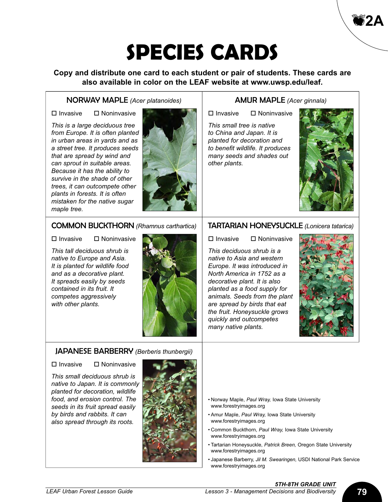**Copy and distribute one card to each student or pair of students. These cards are also available in color on the LEAF website at www.uwsp.edu/leaf.**

#### NORWAY MAPLE *(Acer platanoides)*

 $\square$  Invasive  $\square$  Noninvasive

*This is a large deciduous tree from Europe. It is often planted in urban areas in yards and as a street tree. It produces seeds that are spread by wind and can sprout in suitable areas. Because it has the ability to survive in the shade of other trees, it can outcompete other plants in forests. It is often mistaken for the native sugar maple tree.*



#### AMUR MAPLE *(Acer ginnala)*

 $\square$  Invasive  $\square$  Noninvasive

*This small tree is native to China and Japan. It is planted for decoration and to benefit wildlife. It produces many seeds and shades out other plants.*



A**2A**

#### COMMON BUCKTHORN *(Rhamnus carthartica)*

 $\square$  Invasive  $\square$  Noninvasive

*This tall deciduous shrub is native to Europe and Asia. It is planted for wildlife food and as a decorative plant. It spreads easily by seeds contained in its fruit. It competes aggressively with other plants.*

#### TARTARIAN HONEYSUCKLE *(Lonicera tatarica)*

 $\square$  Invasive  $\square$  Noninvasive

*This deciduous shrub is a native to Asia and western Europe. It was introduced in North America in 1752 as a decorative plant. It is also planted as a food supply for animals. Seeds from the plant are spread by birds that eat the fruit. Honeysuckle grows quickly and outcompetes many native plants.*



#### JAPANESE BARBERRY *(Berberis thunbergii)*

 $\square$  Invasive  $\square$  Noninvasive

*This small deciduous shrub is native to Japan. It is commonly planted for decoration, wildlife food, and erosion control. The seeds in its fruit spread easily by birds and rabbits. It can also spread through its roots.*



- Norway Maple, *Paul Wray,* Iowa State University www.forestryimages.org
- Amur Maple, *Paul Wray,* Iowa State University www.forestryimages.org
- Common Buckthorn, *Paul Wray,* Iowa State University www.forestryimages.org
- Tartarian Honeysuckle, *Patrick Breen,* Oregon State University www.forestryimages.org
- Japanese Barberry, *Jil M. Swearingen,* USDI National Park Service www.forestryimages.org

## *5TH-8TH GRADE UNIT*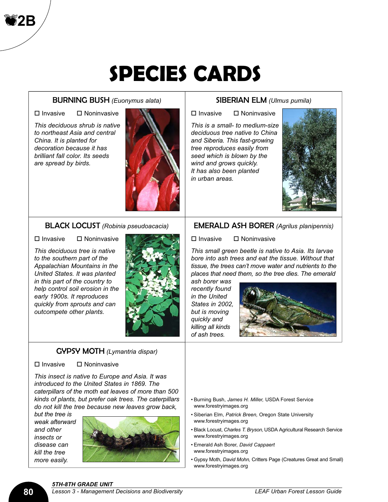#### BURNING BUSH *(Euonymus alata)*

 $\square$  Invasive  $\square$  Noninvasive

A**2B**

*This deciduous shrub is native to northeast Asia and central China. It is planted for decoration because it has brilliant fall color. Its seeds are spread by birds.*



### BLACK LOCUST *(Robinia pseudoacacia)*

 $\Pi$  Invasive  $\Pi$  Noninvasive

*This deciduous tree is native to the southern part of the Appalachian Mountains in the United States. It was planted in this part of the country to help control soil erosion in the early 1900s. It reproduces quickly from sprouts and can outcompete other plants.*



#### GYPSY MOTH *(Lymantria dispar)*

 $\square$  Invasive  $\square$  Noninvasive

*This insect is native to Europe and Asia. It was introduced to the United States in 1869. The caterpillars of the moth eat leaves of more than 500 kinds of plants, but prefer oak trees. The caterpillars do not kill the tree because new leaves grow back,*

*but the tree is weak afterward and other insects or disease can kill the tree more easily.*



#### SIBERIAN ELM *(Ulmus pumila)*

 $\Pi$  Invasive  $\Pi$  Noninvasive

*This is a small- to medium-size deciduous tree native to China and Siberia. This fast-growing tree reproduces easily from seed which is blown by the wind and grows quickly. It has also been planted in urban areas.*



#### EMERALD ASH BORER *(Agrilus planipennis)*

 $\square$  Invasive  $\square$  Noninvasive

*This small green beetle is native to Asia. Its larvae bore into ash trees and eat the tissue. Without that tissue, the trees can't move water and nutrients to the places that need them, so the tree dies. The emerald*

*ash borer was recently found in the United States in 2002, but is moving quickly and killing all kinds of ash trees.*



- Burning Bush, *James H. Miller,* USDA Forest Service www.forestryimages.org
- Siberian Elm, *Patrick Breen,* Oregon State University www.forestryimages.org
- Black Locust, *Charles T. Bryson,* USDA Agricultural Research Service www.forestryimages.org
- Emerald Ash Borer, *David Cappaert* www.forestryimages.org
- Gypsy Moth, *David Mohn,* Critters Page (Creatures Great and Small) www.forestryimages.org

*5TH-8TH GRADE UNIT*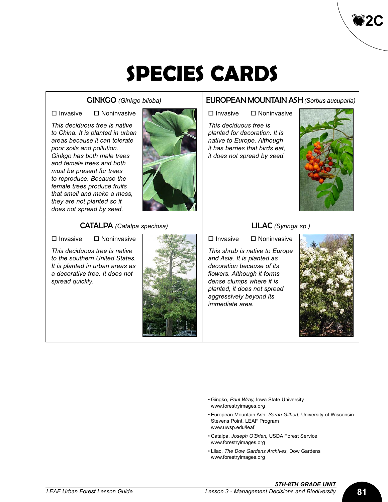#### GINKGO *(Ginkgo biloba)*

 $\square$  Invasive  $\square$  Noninvasive

*This deciduous tree is native to China. It is planted in urban areas because it can tolerate poor soils and pollution. Ginkgo has both male trees and female trees and both must be present for trees to reproduce. Because the female trees produce fruits that smell and make a mess, they are not planted so it does not spread by seed.*



#### EUROPEAN MOUNTAIN ASH*(Sorbus aucuparia)*

 $\square$  Invasive  $\square$  Noninvasive

*This deciduous tree is planted for decoration. It is native to Europe. Although it has berries that birds eat, it does not spread by seed.*



A**2C**

#### CATALPA *(Catalpa speciosa)*

 $\square$  Invasive  $\square$  Noninvasive

*This deciduous tree is native to the southern United States. It is planted in urban areas as a decorative tree. It does not spread quickly.*



#### LILAC *(Syringa sp.)*

 $\square$  Invasive  $\square$  Noninvasive

*This shrub is native to Europe and Asia. It is planted as decoration because of its flowers. Although it forms dense clumps where it is planted, it does not spread aggressively beyond its immediate area.*



- Gingko, *Paul Wray,* Iowa State University www.forestryimages.org
- European Mountain Ash, *Sarah Gilbert,* University of Wisconsin-Stevens Point, LEAF Program www.uwsp.edu/leaf
- Catalpa, *Joseph O'Brien,* USDA Forest Service www.forestryimages.org
- Lilac, *The Dow Gardens Archives,* Dow Gardens www.forestryimages.org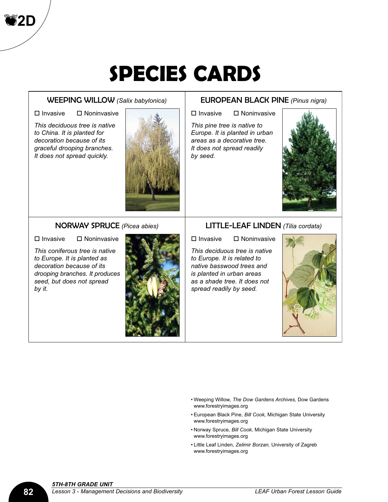#### WEEPING WILLOW *(Salix babylonica)*

A**2D**

 $\square$  Invasive  $\square$  Noninvasive

*This deciduous tree is native to China. It is planted for decoration because of its graceful drooping branches. It does not spread quickly.*



#### NORWAY SPRUCE *(Picea abies)*

 $\square$  Invasive  $\square$  Noninvasive

*This coniferous tree is native to Europe. It is planted as decoration because of its drooping branches. It produces seed, but does not spread by it.*



#### EUROPEAN BLACK PINE *(Pinus nigra)*

 $\square$  Invasive  $\square$  Noninvasive

*This pine tree is native to Europe. It is planted in urban areas as a decorative tree. It does not spread readily by seed.*



#### LITTLE-LEAF LINDEN *(Tilia cordata)*

 $\square$  Invasive  $\square$  Noninvasive

*This deciduous tree is native to Europe. It is related to native basswood trees and is planted in urban areas as a shade tree. It does not spread readily by seed.*



- Weeping Willow, *The Dow Gardens Archives,* Dow Gardens www.forestryimages.org
- European Black Pine, *Bill Cook,* Michigan State University www.forestryimages.org
- Norway Spruce, *Bill Cook,* Michigan State University www.forestryimages.org
- Little Leaf Linden, *Zelimir Borzan,* University of Zagreb www.forestryimages.org

### *5TH-8TH GRADE UNIT*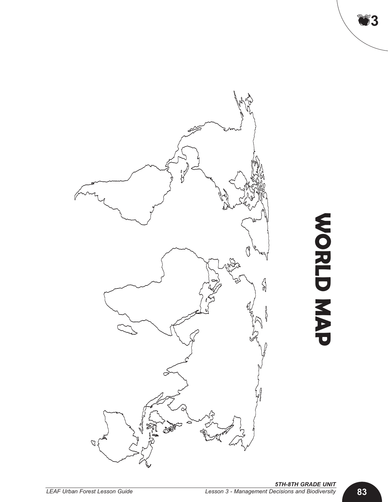

**W O R L D M A P**

A**3**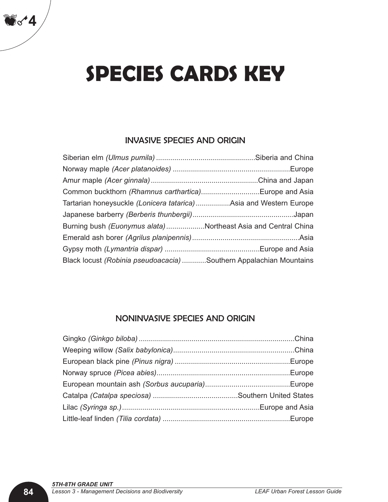# **SPECIES CARDS KEY**

### INVASIVE SPECIES AND ORIGIN

| Common buckthorn (Rhamnus carthartica)Europe and Asia              |  |
|--------------------------------------------------------------------|--|
| Tartarian honeysuckle (Lonicera tatarica) Asia and Western Europe  |  |
|                                                                    |  |
| Burning bush (Euonymus alata)Northeast Asia and Central China      |  |
|                                                                    |  |
|                                                                    |  |
| Black locust (Robinia pseudoacacia) Southern Appalachian Mountains |  |

### NONINVASIVE SPECIES AND ORIGIN

Ak**4**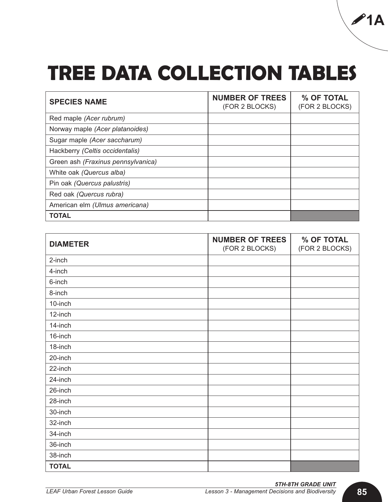# **TREE DATA COLLECTION TABLES**

| <b>SPECIES NAME</b>                | <b>NUMBER OF TREES</b><br>(FOR 2 BLOCKS) | % OF TOTAL<br>(FOR 2 BLOCKS) |
|------------------------------------|------------------------------------------|------------------------------|
| Red maple (Acer rubrum)            |                                          |                              |
| Norway maple (Acer platanoides)    |                                          |                              |
| Sugar maple (Acer saccharum)       |                                          |                              |
| Hackberry (Celtis occidentalis)    |                                          |                              |
| Green ash (Fraxinus pennsylvanica) |                                          |                              |
| White oak (Quercus alba)           |                                          |                              |
| Pin oak (Quercus palustris)        |                                          |                              |
| Red oak (Quercus rubra)            |                                          |                              |
| American elm (Ulmus americana)     |                                          |                              |
| <b>TOTAL</b>                       |                                          |                              |

| <b>DIAMETER</b> | <b>NUMBER OF TREES</b><br>(FOR 2 BLOCKS) | % OF TOTAL<br>(FOR 2 BLOCKS) |
|-----------------|------------------------------------------|------------------------------|
| 2-inch          |                                          |                              |
| 4-inch          |                                          |                              |
| 6-inch          |                                          |                              |
| 8-inch          |                                          |                              |
| 10-inch         |                                          |                              |
| 12-inch         |                                          |                              |
| 14-inch         |                                          |                              |
| 16-inch         |                                          |                              |
| 18-inch         |                                          |                              |
| 20-inch         |                                          |                              |
| 22-inch         |                                          |                              |
| 24-inch         |                                          |                              |
| 26-inch         |                                          |                              |
| 28-inch         |                                          |                              |
| 30-inch         |                                          |                              |
| 32-inch         |                                          |                              |
| 34-inch         |                                          |                              |
| 36-inch         |                                          |                              |
| 38-inch         |                                          |                              |
| <b>TOTAL</b>    |                                          |                              |

!**1A**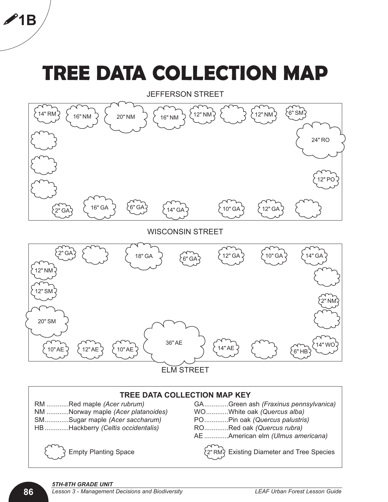# **TREE DATA COLLECTION MAP**



ELM STREET

#### **TREE DATA COLLECTION MAP KEY**

NM ............Norway maple *(Acer platanoides)* WO............White oak *(Quercus alba)* SM.............Sugar maple *(Acer saccharum)* PO.............Pin oak *(Quercus palustris)* HB .............Hackberry *(Celtis occidentalis)* RO.............Red oak *(Quercus rubra)*

RM ............Red maple *(Acer rubrum)* GA.............Green ash *(Fraxinus pennsylvanica)*

- 
- 
- .................. AE .............American elm *(Ulmus americana)*

..................Empty Planting Space ..................Existing Diameter and Tree Species 2" RM



!**1B**